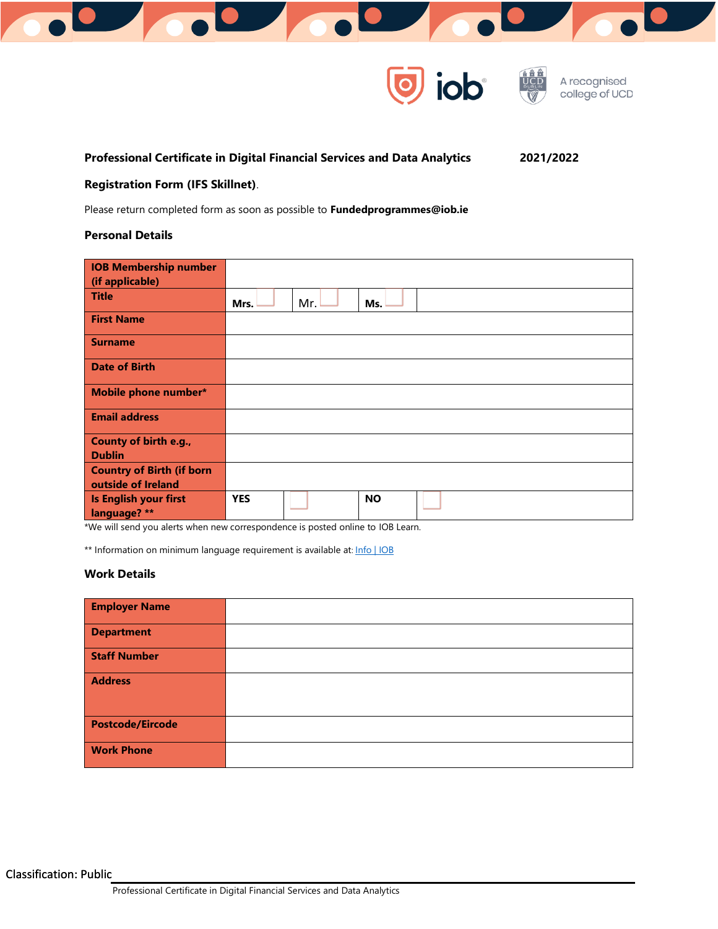



# **Professional Certificate in Digital Financial Services and Data Analytics 2021/2022**

# **Registration Form (IFS Skillnet)**.

Please return completed form as soon as possible to **Fundedprogrammes@iob.ie**

# **Personal Details**

| <b>IOB Membership number</b>           |                         |
|----------------------------------------|-------------------------|
| (if applicable)                        |                         |
| <b>Title</b>                           | Mr.<br>Ms.<br>Mrs.      |
| <b>First Name</b>                      |                         |
| <b>Surname</b>                         |                         |
| <b>Date of Birth</b>                   |                         |
| <b>Mobile phone number*</b>            |                         |
| <b>Email address</b>                   |                         |
| County of birth e.g.,<br><b>Dublin</b> |                         |
| <b>Country of Birth (if born</b>       |                         |
| outside of Ireland                     |                         |
| Is English your first<br>language? **  | <b>YES</b><br><b>NO</b> |

\*We will send you alerts when new correspondence is posted online to IOB Learn.

\*\* Information on minimum language requirement is available at: [Info | IOB](https://iob.ie/info/student-info)

# **Work Details**

| <b>Employer Name</b>    |  |
|-------------------------|--|
| <b>Department</b>       |  |
| <b>Staff Number</b>     |  |
| <b>Address</b>          |  |
| <b>Postcode/Eircode</b> |  |
| <b>Work Phone</b>       |  |

Classification: Public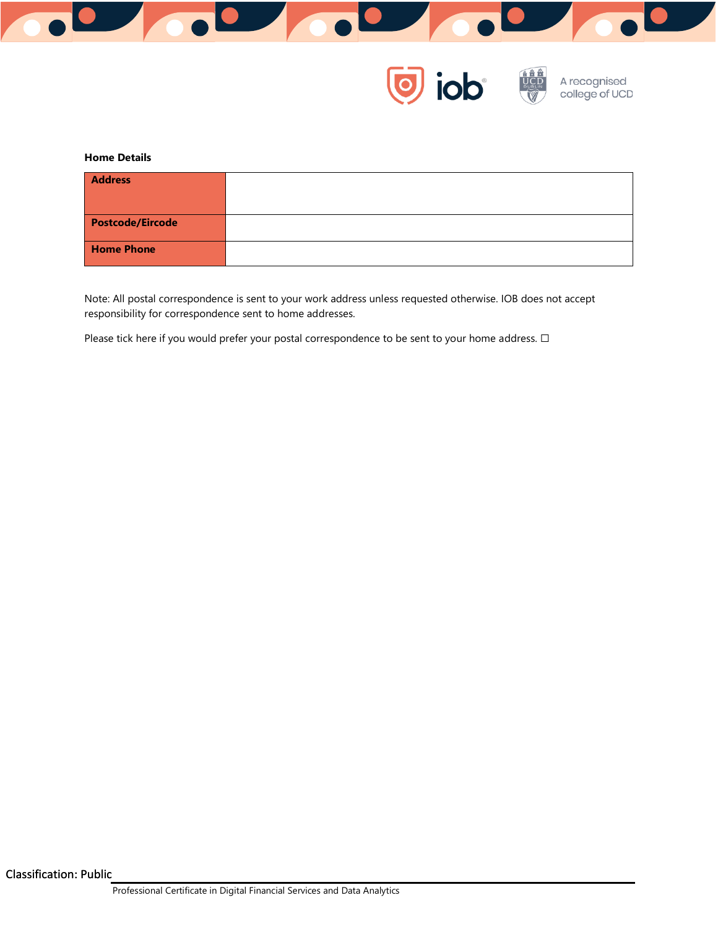



#### **Home Details**

| <b>Address</b>          |  |
|-------------------------|--|
| <b>Postcode/Eircode</b> |  |
| <b>Home Phone</b>       |  |

Note: All postal correspondence is sent to your work address unless requested otherwise. IOB does not accept responsibility for correspondence sent to home addresses.

Please tick here if you would prefer your postal correspondence to be sent to your home address. □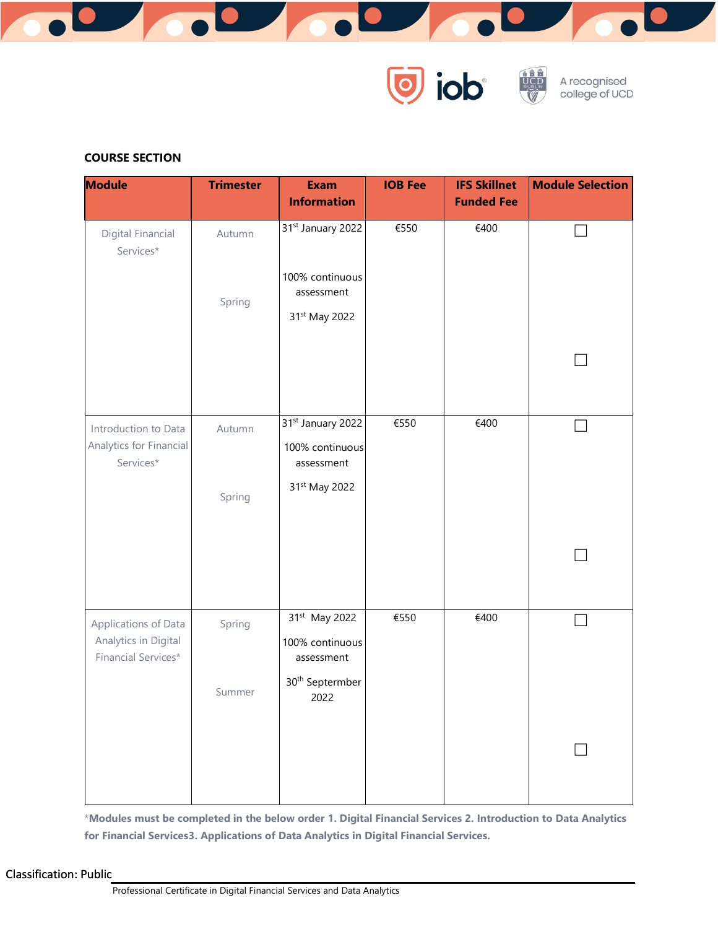



# **COURSE SECTION**

| <b>Module</b>                                                       | <b>Trimester</b> | <b>Exam</b><br><b>Information</b>                                                                 | <b>IOB Fee</b> | <b>IFS Skillnet</b><br><b>Funded Fee</b> | <b>Module Selection</b> |  |
|---------------------------------------------------------------------|------------------|---------------------------------------------------------------------------------------------------|----------------|------------------------------------------|-------------------------|--|
| Digital Financial<br>Services*                                      | Autumn<br>Spring | 31st January 2022<br>100% continuous<br>assessment<br>31st May 2022                               | €550           | €400                                     |                         |  |
|                                                                     |                  |                                                                                                   |                |                                          |                         |  |
| Introduction to Data<br>Analytics for Financial<br>Services*        | Autumn<br>Spring | 31st January 2022<br>100% continuous<br>assessment<br>31st May 2022                               | €550           | €400                                     |                         |  |
|                                                                     |                  |                                                                                                   |                |                                          |                         |  |
| Applications of Data<br>Analytics in Digital<br>Financial Services* | Spring<br>Summer | 31 <sup>st</sup> May 2022<br>100% continuous<br>assessment<br>30 <sup>th</sup> Septermber<br>2022 | €550           | €400                                     |                         |  |
|                                                                     |                  |                                                                                                   |                |                                          |                         |  |

\***Modules must be completed in the below order 1. Digital Financial Services 2. Introduction to Data Analytics for Financial Services3. Applications of Data Analytics in Digital Financial Services.**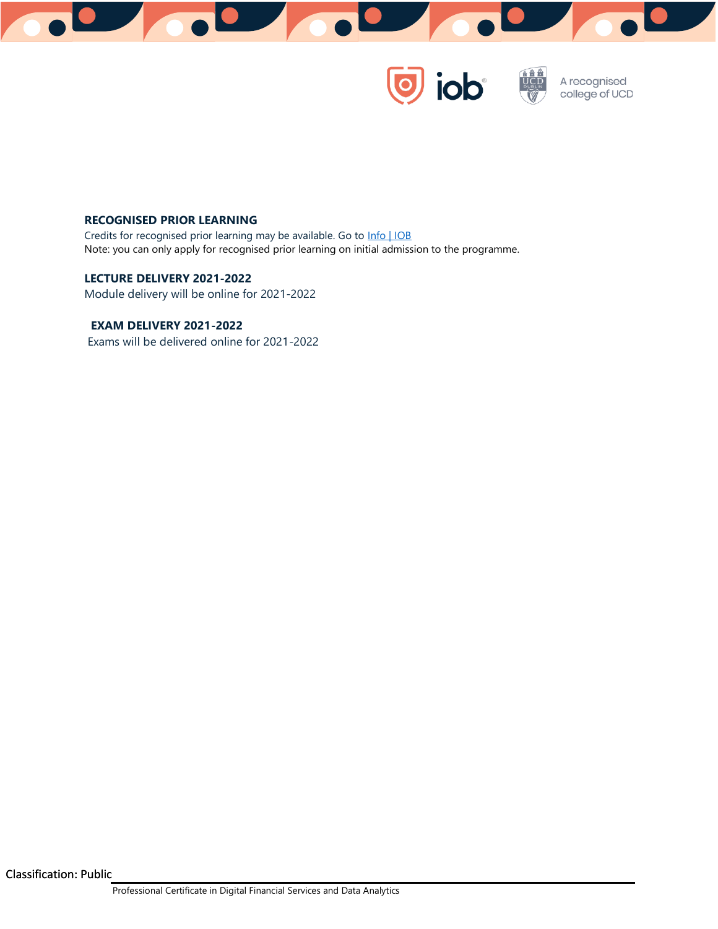

 $\overline{\textcolor{blue}{\bullet}}$  iob

A recognised<br>college of UCD

# **RECOGNISED PRIOR LEARNING**

Credits for recognised prior learning may be available. Go to [Info | IOB](https://iob.ie/info/student-info#exams-and-regulations) Note: you can only apply for recognised prior learning on initial admission to the programme.

# **LECTURE DELIVERY 2021-2022**

Module delivery will be online for 2021-2022

## **EXAM DELIVERY 2021-2022**

Exams will be delivered online for 2021-2022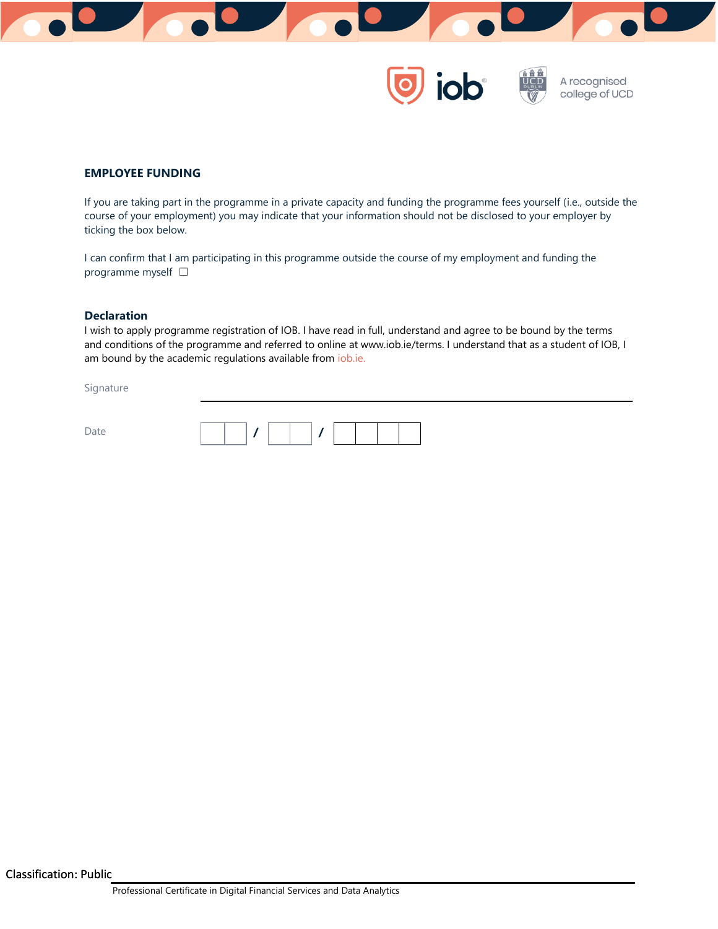



# **EMPLOYEE FUNDING**

If you are taking part in the programme in a private capacity and funding the programme fees yourself (i.e., outside the course of your employment) you may indicate that your information should not be disclosed to your employer by ticking the box below.

I can confirm that I am participating in this programme outside the course of my employment and funding the programme myself  $□$ 

#### **Declaration**

I wish to apply programme registration of IOB. I have read in full, understand and agree to be bound by the terms and conditions of the programme and referred to online at www.iob.ie/terms. I understand that as a student of IOB, I am bound by the academic regulations available from *iob.ie.* 

Signature

| $\sim$<br>≃<br>◡<br>$\overline{\phantom{a}}$<br>$\overline{\phantom{a}}$ |  |  |  |  |  |
|--------------------------------------------------------------------------|--|--|--|--|--|
|                                                                          |  |  |  |  |  |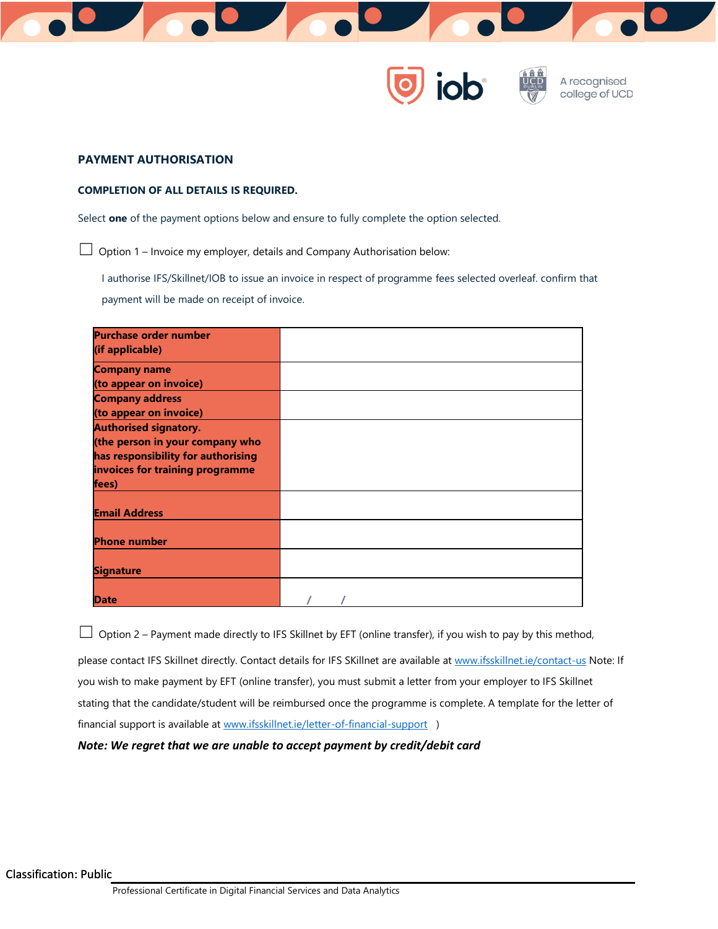



#### **PAYMENT AUTHORISATION**

#### **COMPLETION OF ALL DETAILS IS REQUIRED.**

Select **one** of the payment options below and ensure to fully complete the option selected.

 $\Box$  Option 1 – Invoice my employer, details and Company Authorisation below:

I authorise IFS/Skillnet/IOB to issue an invoice in respect of programme fees selected overleaf. confirm that payment will be made on receipt of invoice.

| <b>Purchase order number</b>       |  |
|------------------------------------|--|
| (if applicable)                    |  |
| <b>Company name</b>                |  |
| (to appear on invoice)             |  |
| <b>Company address</b>             |  |
| (to appear on invoice)             |  |
| <b>Authorised signatory.</b>       |  |
| (the person in your company who    |  |
| has responsibility for authorising |  |
| invoices for training programme    |  |
| fees)                              |  |
|                                    |  |
| <b>Email Address</b>               |  |
|                                    |  |
| <b>Phone number</b>                |  |
|                                    |  |
| <b>Signature</b>                   |  |
|                                    |  |
| <b>Date</b>                        |  |

 $\Box$  Option 2 – Payment made directly to IFS Skillnet by EFT (online transfer), if you wish to pay by this method,

please contact IFS Skillnet directly. Contact details for IFS SKillnet are available a[t www.ifsskillnet.ie/contact-us](http://www.ifsskillnet.ie/contact-us) Note: If you wish to make payment by EFT (online transfer), you must submit a letter from your employer to IFS Skillnet stating that the candidate/student will be reimbursed once the programme is complete. A template for the letter of financial support is available a[t www.ifsskillnet.ie/letter-of-financial-support](http://www.ifsskillnet.ie/letter-of-financial-support) )

#### *Note: We regret that we are unable to accept payment by credit/debit card*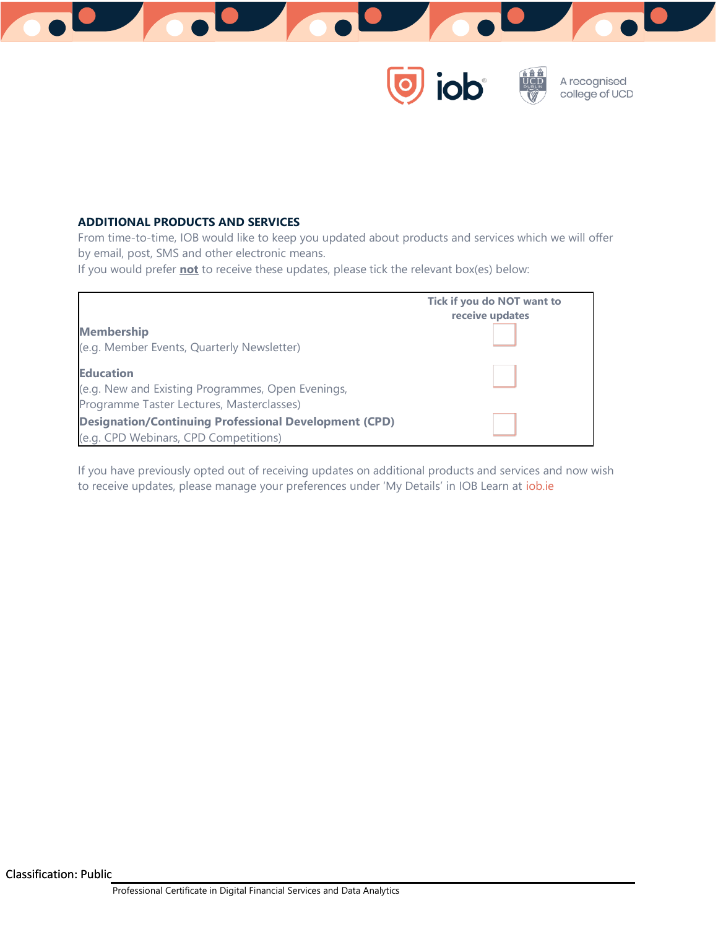

iob

A recognised college of UCD

# **ADDITIONAL PRODUCTS AND SERVICES**

From time-to-time, IOB would like to keep you updated about products and services which we will offer by email, post, SMS and other electronic means.

If you would prefer **not** to receive these updates, please tick the relevant box(es) below:



If you have previously opted out of receiving updates on additional products and services and now wish to receive updates, please manage your preferences under 'My Details' in IOB Learn at [iob.ie](http://www.iob.ie/)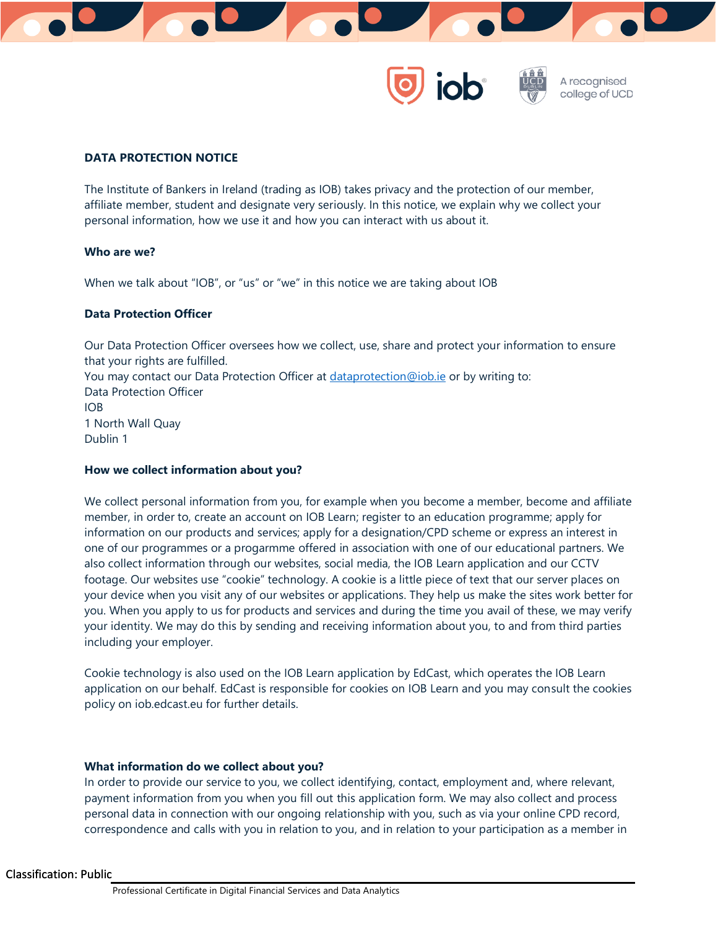



# **DATA PROTECTION NOTICE**

The Institute of Bankers in Ireland (trading as IOB) takes privacy and the protection of our member, affiliate member, student and designate very seriously. In this notice, we explain why we collect your personal information, how we use it and how you can interact with us about it.

#### **Who are we?**

When we talk about "IOB", or "us" or "we" in this notice we are taking about IOB

#### **Data Protection Officer**

Our Data Protection Officer oversees how we collect, use, share and protect your information to ensure that your rights are fulfilled. You may contact our Data Protection Officer at [dataprotection@iob.ie](mailto:dataprotection@iob.ie) or by writing to: Data Protection Officer IOB 1 North Wall Quay Dublin 1

#### **How we collect information about you?**

We collect personal information from you, for example when you become a member, become and affiliate member, in order to, create an account on IOB Learn; register to an education programme; apply for information on our products and services; apply for a designation/CPD scheme or express an interest in one of our programmes or a progarmme offered in association with one of our educational partners. We also collect information through our websites, social media, the IOB Learn application and our CCTV footage. Our websites use "cookie" technology. A cookie is a little piece of text that our server places on your device when you visit any of our websites or applications. They help us make the sites work better for you. When you apply to us for products and services and during the time you avail of these, we may verify your identity. We may do this by sending and receiving information about you, to and from third parties including your employer.

Cookie technology is also used on the IOB Learn application by EdCast, which operates the IOB Learn application on our behalf. EdCast is responsible for cookies on IOB Learn and you may consult the cookies policy on iob.edcast.eu for further details.

#### **What information do we collect about you?**

In order to provide our service to you, we collect identifying, contact, employment and, where relevant, payment information from you when you fill out this application form. We may also collect and process personal data in connection with our ongoing relationship with you, such as via your online CPD record, correspondence and calls with you in relation to you, and in relation to your participation as a member in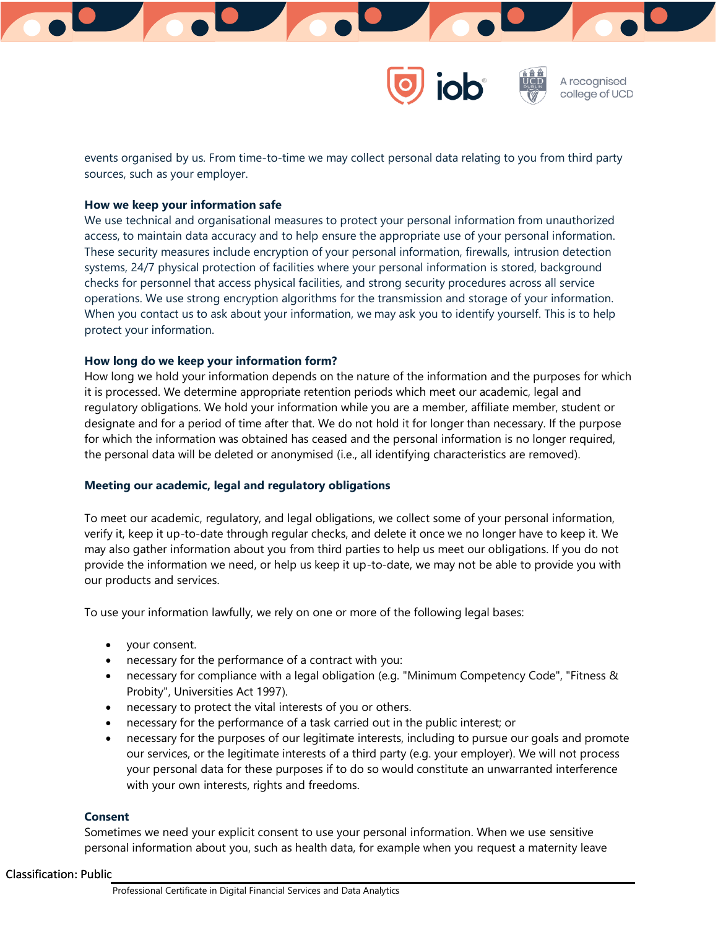

events organised by us. From time-to-time we may collect personal data relating to you from third party sources, such as your employer.

#### **How we keep your information safe**

We use technical and organisational measures to protect your personal information from unauthorized access, to maintain data accuracy and to help ensure the appropriate use of your personal information. These security measures include encryption of your personal information, firewalls, intrusion detection systems, 24/7 physical protection of facilities where your personal information is stored, background checks for personnel that access physical facilities, and strong security procedures across all service operations. We use strong encryption algorithms for the transmission and storage of your information. When you contact us to ask about your information, we may ask you to identify yourself. This is to help protect your information.

# **How long do we keep your information form?**

How long we hold your information depends on the nature of the information and the purposes for which it is processed. We determine appropriate retention periods which meet our academic, legal and regulatory obligations. We hold your information while you are a member, affiliate member, student or designate and for a period of time after that. We do not hold it for longer than necessary. If the purpose for which the information was obtained has ceased and the personal information is no longer required, the personal data will be deleted or anonymised (i.e., all identifying characteristics are removed).

#### **Meeting our academic, legal and regulatory obligations**

To meet our academic, regulatory, and legal obligations, we collect some of your personal information, verify it, keep it up-to-date through regular checks, and delete it once we no longer have to keep it. We may also gather information about you from third parties to help us meet our obligations. If you do not provide the information we need, or help us keep it up-to-date, we may not be able to provide you with our products and services.

To use your information lawfully, we rely on one or more of the following legal bases:

- your consent.
- necessary for the performance of a contract with you:
- necessary for compliance with a legal obligation (e.g. "Minimum Competency Code", "Fitness & Probity", Universities Act 1997).
- necessary to protect the vital interests of you or others.
- necessary for the performance of a task carried out in the public interest; or
- necessary for the purposes of our legitimate interests, including to pursue our goals and promote our services, or the legitimate interests of a third party (e.g. your employer). We will not process your personal data for these purposes if to do so would constitute an unwarranted interference with your own interests, rights and freedoms.

#### **Consent**

Sometimes we need your explicit consent to use your personal information. When we use sensitive personal information about you, such as health data, for example when you request a maternity leave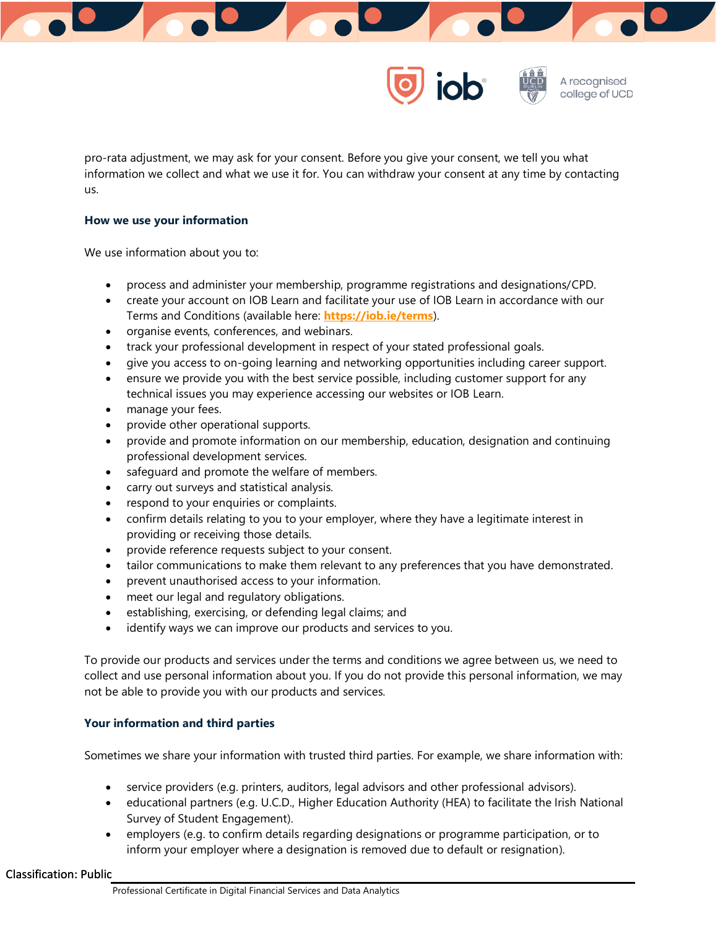



pro-rata adjustment, we may ask for your consent. Before you give your consent, we tell you what information we collect and what we use it for. You can withdraw your consent at any time by contacting us.

## **How we use your information**

We use information about you to:

- process and administer your membership, programme registrations and designations/CPD.
- create your account on IOB Learn and facilitate your use of IOB Learn in accordance with our Terms and Conditions (available here: **<https://iob.ie/terms>**).
- organise events, conferences, and webinars.
- track your professional development in respect of your stated professional goals.
- give you access to on-going learning and networking opportunities including career support.
- ensure we provide you with the best service possible, including customer support for any technical issues you may experience accessing our websites or IOB Learn.
- manage your fees.
- provide other operational supports.
- provide and promote information on our membership, education, designation and continuing professional development services.
- safeguard and promote the welfare of members.
- carry out surveys and statistical analysis.
- respond to your enquiries or complaints.
- confirm details relating to you to your employer, where they have a legitimate interest in providing or receiving those details.
- provide reference requests subject to your consent.
- tailor communications to make them relevant to any preferences that you have demonstrated.
- prevent unauthorised access to your information.
- meet our legal and regulatory obligations.
- establishing, exercising, or defending legal claims; and
- identify ways we can improve our products and services to you.

To provide our products and services under the terms and conditions we agree between us, we need to collect and use personal information about you. If you do not provide this personal information, we may not be able to provide you with our products and services.

# **Your information and third parties**

Sometimes we share your information with trusted third parties. For example, we share information with:

- service providers (e.g. printers, auditors, legal advisors and other professional advisors).
- educational partners (e.g. U.C.D., Higher Education Authority (HEA) to facilitate the Irish National Survey of Student Engagement).
- employers (e.g. to confirm details regarding designations or programme participation, or to inform your employer where a designation is removed due to default or resignation).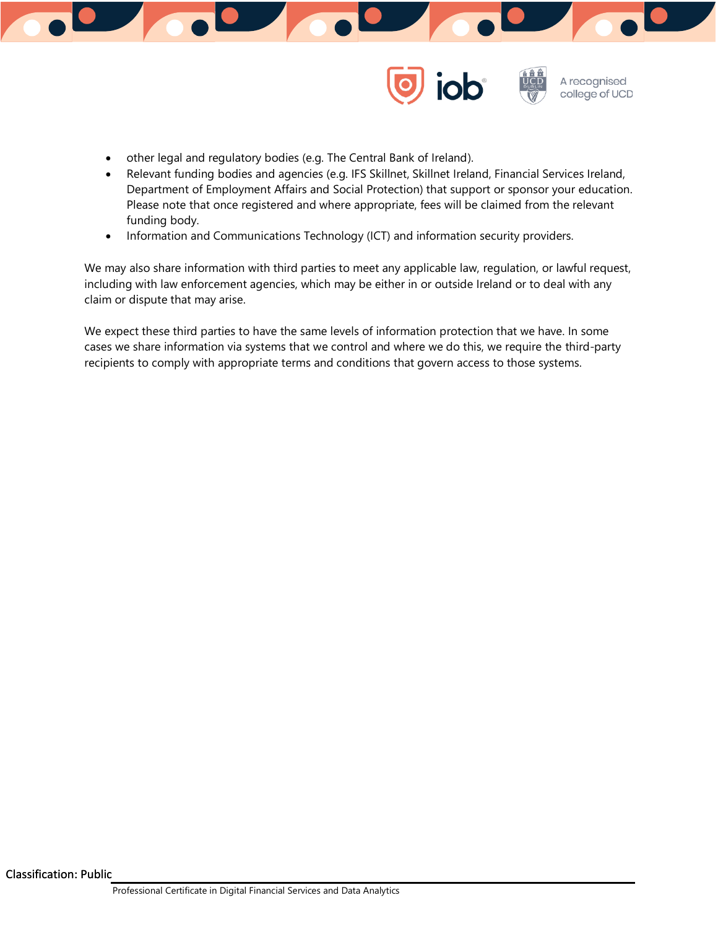



- other legal and regulatory bodies (e.g. The Central Bank of Ireland).
- Relevant funding bodies and agencies (e.g. IFS Skillnet, Skillnet Ireland, Financial Services Ireland, Department of Employment Affairs and Social Protection) that support or sponsor your education. Please note that once registered and where appropriate, fees will be claimed from the relevant funding body.
- Information and Communications Technology (ICT) and information security providers.

We may also share information with third parties to meet any applicable law, regulation, or lawful request, including with law enforcement agencies, which may be either in or outside Ireland or to deal with any claim or dispute that may arise.

We expect these third parties to have the same levels of information protection that we have. In some cases we share information via systems that we control and where we do this, we require the third-party recipients to comply with appropriate terms and conditions that govern access to those systems.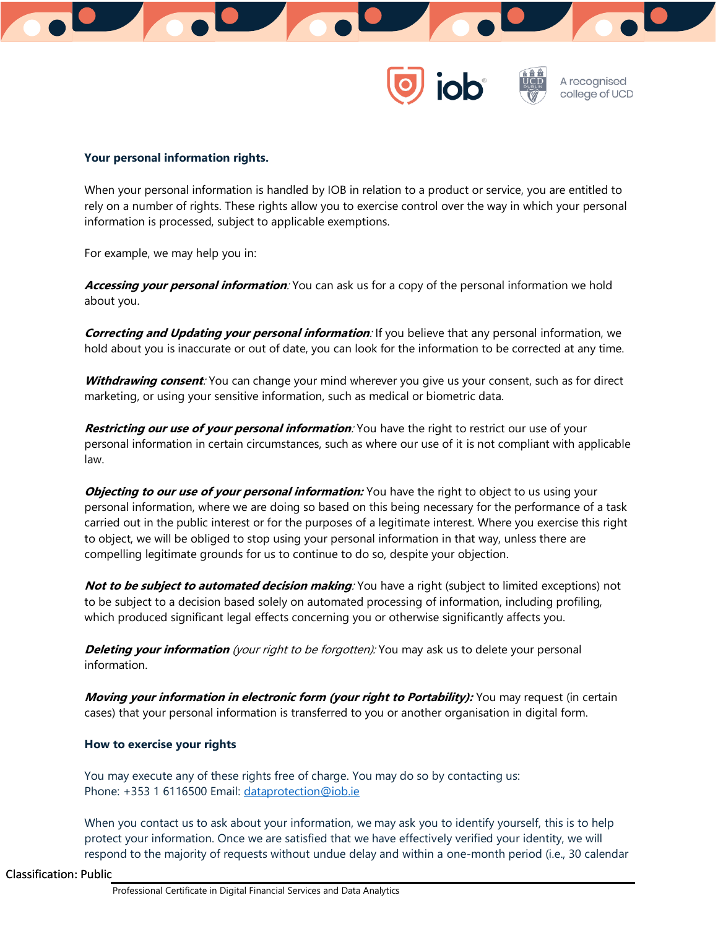



## **Your personal information rights.**

When your personal information is handled by IOB in relation to a product or service, you are entitled to rely on a number of rights. These rights allow you to exercise control over the way in which your personal information is processed, subject to applicable exemptions.

For example, we may help you in:

**Accessing your personal information**: You can ask us for a copy of the personal information we hold about you.

**Correcting and Updating your personal information**: If you believe that any personal information, we hold about you is inaccurate or out of date, you can look for the information to be corrected at any time.

**Withdrawing consent**: You can change your mind wherever you give us your consent, such as for direct marketing, or using your sensitive information, such as medical or biometric data.

**Restricting our use of your personal information**: You have the right to restrict our use of your personal information in certain circumstances, such as where our use of it is not compliant with applicable law.

**Objecting to our use of your personal information:** You have the right to object to us using your personal information, where we are doing so based on this being necessary for the performance of a task carried out in the public interest or for the purposes of a legitimate interest. Where you exercise this right to object, we will be obliged to stop using your personal information in that way, unless there are compelling legitimate grounds for us to continue to do so, despite your objection.

**Not to be subject to automated decision making**: You have a right (subject to limited exceptions) not to be subject to a decision based solely on automated processing of information, including profiling, which produced significant legal effects concerning you or otherwise significantly affects you.

**Deleting your information** (your right to be forgotten): You may ask us to delete your personal information.

**Moving your information in electronic form (your right to Portability):** You may request (in certain cases) that your personal information is transferred to you or another organisation in digital form.

#### **How to exercise your rights**

You may execute any of these rights free of charge. You may do so by contacting us: Phone: +353 1 6116500 Email: [dataprotection@iob.ie](mailto:dataprotection@iob.ie)

When you contact us to ask about your information, we may ask you to identify yourself, this is to help protect your information. Once we are satisfied that we have effectively verified your identity, we will respond to the majority of requests without undue delay and within a one-month period (i.e., 30 calendar